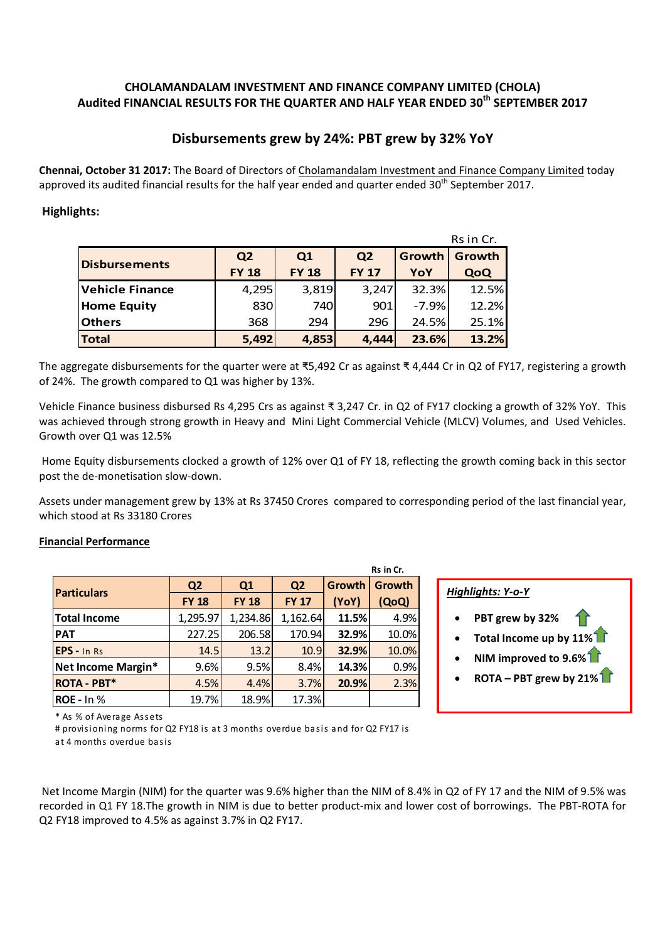## **CHOLAMANDALAM INVESTMENT AND FINANCE COMPANY LIMITED (CHOLA) Audited FINANCIAL RESULTS FOR THE QUARTER AND HALF YEAR ENDED 30th SEPTEMBER 2017**

# **Disbursements grew by 24%: PBT grew by 32% YoY**

**Chennai, October 31 2017:** The Board of Directors of Cholamandalam Investment and Finance Company Limited today approved its audited financial results for the half year ended and quarter ended 30<sup>th</sup> September 2017.

# **Highlights:**

|                      | Rs in Cr.      |              |                |         |        |  |  |
|----------------------|----------------|--------------|----------------|---------|--------|--|--|
|                      | Q <sub>2</sub> | Q1           | Q <sub>2</sub> | Growth  | Growth |  |  |
| <b>Disbursements</b> | <b>FY 18</b>   | <b>FY 18</b> | <b>FY 17</b>   | YoY     | QoQ    |  |  |
| Vehicle Finance      | 4,295          | 3,819        | 3,247          | 32.3%   | 12.5%  |  |  |
| <b>Home Equity</b>   | 830            | 740          | 901            | $-7.9%$ | 12.2%  |  |  |
| <b>Others</b>        | 368            | 294          | 296            | 24.5%   | 25.1%  |  |  |
| <b>Total</b>         | 5,492          | 4,853        | 4,444          | 23.6%   | 13.2%  |  |  |

The aggregate disbursements for the quarter were at ₹5,492 Cr as against ₹ 4,444 Cr in Q2 of FY17, registering a growth of 24%. The growth compared to Q1 was higher by 13%.

Vehicle Finance business disbursed Rs 4,295 Crs as against ₹ 3,247 Cr. in Q2 of FY17 clocking a growth of 32% YoY. This was achieved through strong growth in Heavy and Mini Light Commercial Vehicle (MLCV) Volumes, and Used Vehicles. Growth over Q1 was 12.5%

Home Equity disbursements clocked a growth of 12% over Q1 of FY 18, reflecting the growth coming back in this sector post the de‐monetisation slow‐down.

Assets under management grew by 13% at Rs 37450 Crores compared to corresponding period of the last financial year, which stood at Rs 33180 Crores

### **Financial Performance**

| Rs in Cr.           |                |              |                |        |        |  |  |
|---------------------|----------------|--------------|----------------|--------|--------|--|--|
|                     | Q <sub>2</sub> | Q1           | Q <sub>2</sub> | Growth | Growth |  |  |
| <b>Particulars</b>  | <b>FY 18</b>   | <b>FY 18</b> | <b>FY 17</b>   | (YoY)  | (QoQ)  |  |  |
| <b>Total Income</b> | 1,295.97       | 1,234.86     | 1,162.64       | 11.5%  | 4.9%   |  |  |
| <b>PAT</b>          | 227.25         | 206.58       | 170.94         | 32.9%  | 10.0%  |  |  |
| EPS - In Rs         | 14.5           | 13.2         | 10.9           | 32.9%  | 10.0%  |  |  |
| Net Income Margin*  | 9.6%           | 9.5%         | 8.4%           | 14.3%  | 0.9%   |  |  |
| <b>ROTA - PBT*</b>  | 4.5%           | 4.4%         | 3.7%           | 20.9%  | 2.3%   |  |  |
| <b>ROE</b> - In %   | 19.7%          | 18.9%        | 17.3%          |        |        |  |  |

#### **(YoY)** *Highlights: <sup>Y</sup>‐o‐<sup>Y</sup>*

- **PBT grew by 32%**
- **Total Income up by 11%**
- **NIM improved to 9.6%**
- **ROTA – PBT grew by 21%**

\* As % of Ave rage As se ts

# provisioning norms for Q2 FY18 is at 3 months overdue basis and for Q2 FY17 is a t 4 months ove rdue basis

Net Income Margin (NIM) for the quarter was 9.6% higher than the NIM of 8.4% in Q2 of FY 17 and the NIM of 9.5% was recorded in Q1 FY 18.The growth in NIM is due to better product-mix and lower cost of borrowings. The PBT-ROTA for Q2 FY18 improved to 4.5% as against 3.7% in Q2 FY17.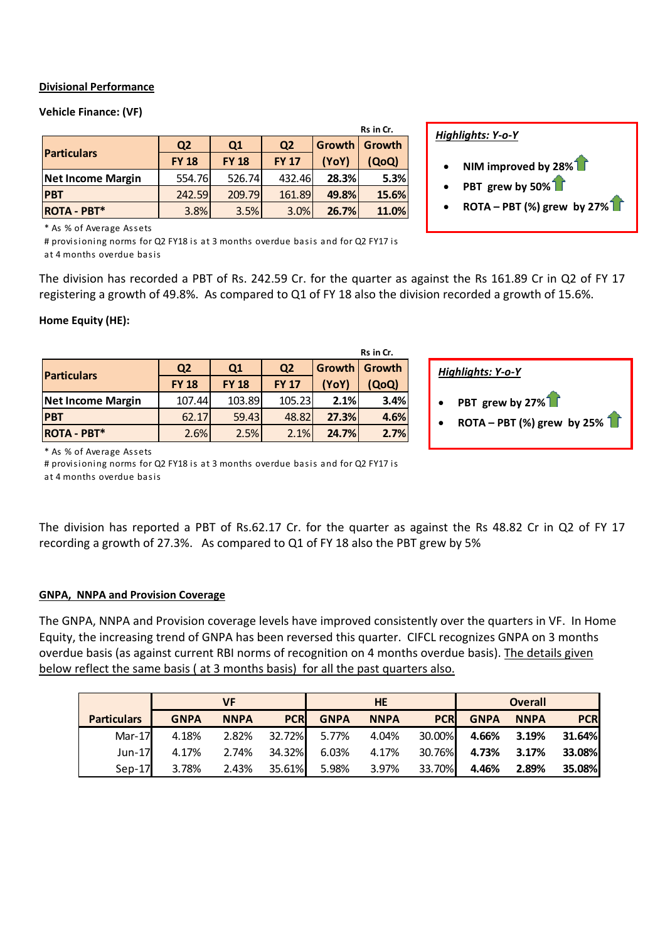### **Divisional Performance**

### **Vehicle Finance: (VF)**

| Rs in Cr.                |                |              |                |        |        |  |
|--------------------------|----------------|--------------|----------------|--------|--------|--|
|                          | Q <sub>2</sub> | Q1           | Q <sub>2</sub> | Growth | Growth |  |
| <b>Particulars</b>       | <b>FY 18</b>   | <b>FY 18</b> | <b>FY 17</b>   | (YoY)  | (QoQ)  |  |
| <b>Net Income Margin</b> | 554.76         | 526.74       | 432.46         | 28.3%  | 5.3%   |  |
| <b>PBT</b>               | 242.59         | 209.79       | 161.89         | 49.8%  | 15.6%  |  |
| <b>ROTA - PBT*</b>       | 3.8%           | 3.5%         | 3.0%           | 26.7%  | 11.0%  |  |

### *Highlights: Y‐o‐Y*

- **NIM improved by 28%**
- **PBT grew by 50%**
- **ROTA – PBT (%) grew by 27%**

\* As % of Ave rage As se ts

 a t 4 months ove rdue basis # provisioning norms for Q2 FY18 is at 3 months overdue basis and for Q2 FY17 is

The division has recorded a PBT of Rs. 242.59 Cr. for the quarter as against the Rs 161.89 Cr in Q2 of FY 17 registering a growth of 49.8%. As compared to Q1 of FY 18 also the division recorded a growth of 15.6%.

#### **Home Equity (HE):**

|                    |                |                |                |       | Rs in Cr.     |  |                   |                      |
|--------------------|----------------|----------------|----------------|-------|---------------|--|-------------------|----------------------|
| <b>Particulars</b> | Q <sub>2</sub> | Q <sub>1</sub> | Q <sub>2</sub> |       | Growth Growth |  | Highlights: Y-o-Y |                      |
|                    | <b>FY 18</b>   | <b>FY 18</b>   | <b>FY 17</b>   | (YoY) | (QoQ)         |  |                   |                      |
| Net Income Margin  | 107.44         | 103.89         | 105.23         | 2.1%  | 3.4%          |  |                   | PBT grew by 2        |
| <b>PBT</b>         | 62.17          | 59.43          | 48.82          | 27.3% | 4.6%          |  |                   | <b>ROTA - PBT (%</b> |
| <b>ROTA - PBT*</b> | 2.6%           | 2.5%           | 2.1%           | 24.7% | 2.7%          |  |                   |                      |
|                    |                |                |                |       |               |  |                   |                      |

| Highlights: Y-o-Y |                                                                                       |  |  |  |  |
|-------------------|---------------------------------------------------------------------------------------|--|--|--|--|
|                   | PBT grew by 27%<br>ROTA – PBT (%) grew by 25% $\begin{bmatrix} \bullet \end{bmatrix}$ |  |  |  |  |

\* As % of Ave rage As se ts

# provisioning norms for Q2 FY18 is at 3 months overdue basis and for Q2 FY17 is

a t 4 months ove rdue basis

The division has reported a PBT of Rs.62.17 Cr. for the quarter as against the Rs 48.82 Cr in Q2 of FY 17 recording a growth of 27.3%. As compared to Q1 of FY 18 also the PBT grew by 5%

#### **GNPA, NNPA and Provision Coverage**

The GNPA, NNPA and Provision coverage levels have improved consistently over the quarters in VF. In Home Equity, the increasing trend of GNPA has been reversed this quarter. CIFCL recognizes GNPA on 3 months overdue basis (as against current RBI norms of recognition on 4 months overdue basis). The details given below reflect the same basis ( at 3 months basis) for all the past quarters also.

|                    | VF          |             |              | <b>HE</b>                |             |            | <b>Overall</b>            |             |            |
|--------------------|-------------|-------------|--------------|--------------------------|-------------|------------|---------------------------|-------------|------------|
| <b>Particulars</b> | <b>GNPA</b> | <b>NNPA</b> | <b>PCRI</b>  | <b>GNPA</b>              | <b>NNPA</b> | <b>PCR</b> | <b>GNPA</b>               | <b>NNPA</b> | <b>PCR</b> |
| $Mar-17$           | 4.18%       |             |              | 2.82% 32.72% 5.77% 4.04% |             |            | 30.00% 4.66% 3.19%        |             | 31.64%     |
| $Jun-17$           | 4.17%       |             | 2.74% 34.32% | 6.03%                    | 4.17%       |            | 30.76% 4.73% 3.17% 33.08% |             |            |
| $Sep-17$           | 3.78%       |             | 2.43% 35.61% | 5.98%                    | 3.97%       | 33.70%     | 4.46%                     | 2.89%       | 35.08%     |